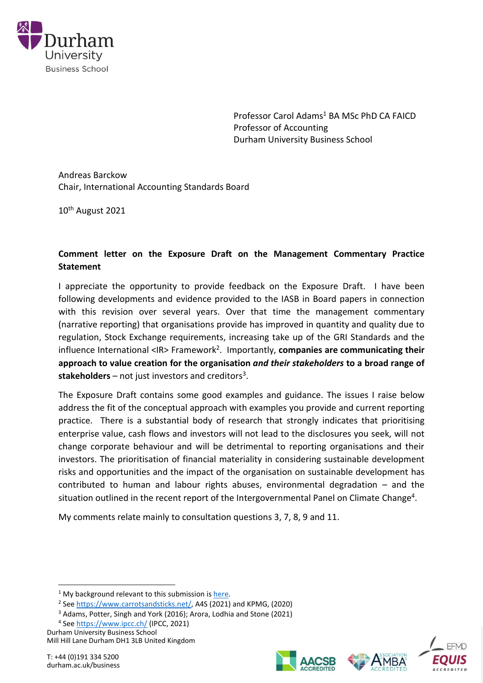

Professor Carol Adams<sup>1</sup> BA MSc PhD CA FAICD Professor of Accounting Durham University Business School

Andreas Barckow Chair, International Accounting Standards Board

10th August 2021

# **Comment letter on the Exposure Draft on the Management Commentary Practice Statement**

I appreciate the opportunity to provide feedback on the Exposure Draft. I have been following developments and evidence provided to the IASB in Board papers in connection with this revision over several years. Over that time the management commentary (narrative reporting) that organisations provide has improved in quantity and quality due to regulation, Stock Exchange requirements, increasing take up of the GRI Standards and the influence International <IR> Framework<sup>2</sup>. Importantly, **companies are communicating their approach to value creation for the organisation** *and their stakeholders* **to a broad range of**  stakeholders - not just investors and creditors<sup>3</sup>.

The Exposure Draft contains some good examples and guidance. The issues I raise below address the fit of the conceptual approach with examples you provide and current reporting practice. There is a substantial body of research that strongly indicates that prioritising enterprise value, cash flows and investors will not lead to the disclosures you seek, will not change corporate behaviour and will be detrimental to reporting organisations and their investors. The prioritisation of financial materiality in considering sustainable development risks and opportunities and the impact of the organisation on sustainable development has contributed to human and labour rights abuses, environmental degradation – and the situation outlined in the recent report of the Intergovernmental Panel on Climate Change<sup>4</sup>.

My comments relate mainly to consultation questions 3, 7, 8, 9 and 11.

<sup>4</sup> See<https://www.ipcc.ch/> (IPCC, 2021)





 $1$  My background relevant to this submission is [here.](https://drcaroladams.net/about-carol/)

<sup>&</sup>lt;sup>2</sup> See [https://www.carrotsandsticks.net/,](https://www.carrotsandsticks.net/) A4S (2021) and KPMG, (2020)

<sup>3</sup> Adams, Potter, Singh and York (2016); Arora, Lodhia and Stone (2021)

Durham University Business School Mill Hill Lane Durham DH1 3LB United Kingdom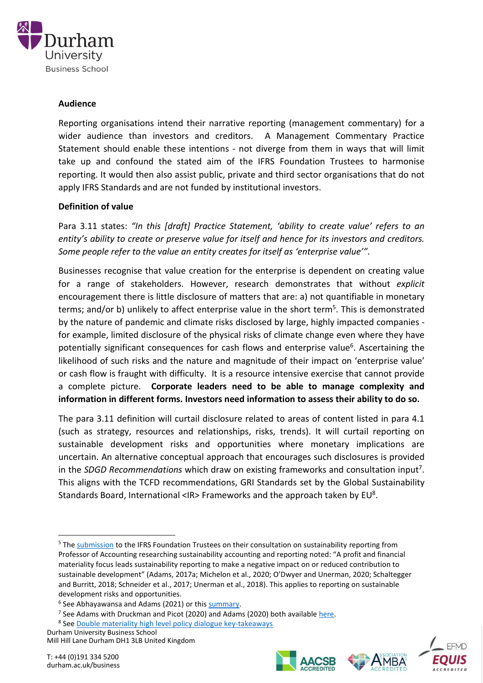

#### **Audience**

Reporting organisations intend their narrative reporting (management commentary) for a wider audience than investors and creditors. A Management Commentary Practice Statement should enable these intentions - not diverge from them in ways that will limit take up and confound the stated aim of the IFRS Foundation Trustees to harmonise reporting. It would then also assist public, private and third sector organisations that do not apply IFRS Standards and are not funded by institutional investors.

# **Definition of value**

Para 3.11 states: *"In this [draft] Practice Statement, 'ability to create value' refers to an entity's ability to create or preserve value for itself and hence for its investors and creditors. Some people refer to the value an entity creates for itself as 'enterprise value'"*.

Businesses recognise that value creation for the enterprise is dependent on creating value for a range of stakeholders. However, research demonstrates that without *explicit* encouragement there is little disclosure of matters that are: a) not quantifiable in monetary terms; and/or b) unlikely to affect enterprise value in the short term<sup>5</sup>. This is demonstrated by the nature of pandemic and climate risks disclosed by large, highly impacted companies for example, limited disclosure of the physical risks of climate change even where they have potentially significant consequences for cash flows and enterprise value<sup>6</sup>. Ascertaining the likelihood of such risks and the nature and magnitude of their impact on 'enterprise value' or cash flow is fraught with difficulty. It is a resource intensive exercise that cannot provide a complete picture. **Corporate leaders need to be able to manage complexity and information in different forms. Investors need information to assess their ability to do so.**

The para 3.11 definition will curtail disclosure related to areas of content listed in para 4.1 (such as strategy, resources and relationships, risks, trends). It will curtail reporting on sustainable development risks and opportunities where monetary implications are uncertain. An alternative conceptual approach that encourages such disclosures is provided in the *SDGD Recommendations* which draw on existing frameworks and consultation input<sup>7</sup> . This aligns with the TCFD recommendations, GRI Standards set by the Global Sustainability Standards Board, International <IR> Frameworks and the approach taken by  $EU^8$ .

<sup>7</sup> See Adams with Druckman and Picot (2020) and Adams (2020) both available [here.](https://www.ifac.org/knowledge-gateway/contributing-global-economy/publications/sustainable-development-goals-disclosure-sdgd-recommendations)

Durham University Business School Mill Hill Lane Durham DH1 3LB United Kingdom





<sup>5</sup> The [submission](https://drcaroladams.net/research-supporting-ifrs-submission-from-professors-of-accounting-researching-sustainability-accounting-and-reporting/) to the IFRS Foundation Trustees on their consultation on sustainability reporting from Professor of Accounting researching sustainability accounting and reporting noted: "A profit and financial materiality focus leads sustainability reporting to make a negative impact on or reduced contribution to sustainable development" (Adams, 2017a; Michelon et al., 2020; O'Dwyer and Unerman, 2020; Schaltegger and Burritt, 2018; Schneider et al., 2017; Unerman et al., 2018). This applies to reporting on sustainable development risks and opportunities.

<sup>&</sup>lt;sup>6</sup> See Abhayawansa and Adams (2021) or this **summary**.

<sup>&</sup>lt;sup>8</sup> See **Double materiality high level policy dialogue key-takeaways**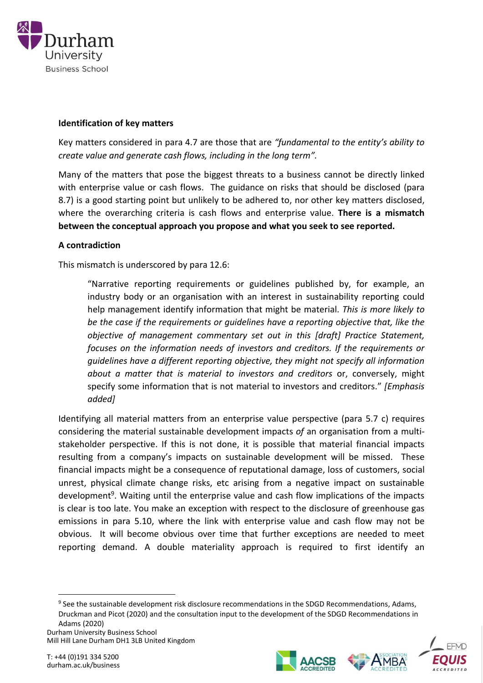

# **Identification of key matters**

Key matters considered in para 4.7 are those that are *"fundamental to the entity's ability to create value and generate cash flows, including in the long term".*

Many of the matters that pose the biggest threats to a business cannot be directly linked with enterprise value or cash flows. The guidance on risks that should be disclosed (para 8.7) is a good starting point but unlikely to be adhered to, nor other key matters disclosed, where the overarching criteria is cash flows and enterprise value. **There is a mismatch between the conceptual approach you propose and what you seek to see reported.**

# **A contradiction**

This mismatch is underscored by para 12.6:

"Narrative reporting requirements or guidelines published by, for example, an industry body or an organisation with an interest in sustainability reporting could help management identify information that might be material. *This is more likely to be the case if the requirements or guidelines have a reporting objective that, like the objective of management commentary set out in this [draft] Practice Statement, focuses on the information needs of investors and creditors. If the requirements or guidelines have a different reporting objective, they might not specify all information about a matter that is material to investors and creditors* or, conversely, might specify some information that is not material to investors and creditors." *[Emphasis added]*

Identifying all material matters from an enterprise value perspective (para 5.7 c) requires considering the material sustainable development impacts *of* an organisation from a multistakeholder perspective. If this is not done, it is possible that material financial impacts resulting from a company's impacts on sustainable development will be missed. These financial impacts might be a consequence of reputational damage, loss of customers, social unrest, physical climate change risks, etc arising from a negative impact on sustainable development<sup>9</sup>. Waiting until the enterprise value and cash flow implications of the impacts is clear is too late. You make an exception with respect to the disclosure of greenhouse gas emissions in para 5.10, where the link with enterprise value and cash flow may not be obvious. It will become obvious over time that further exceptions are needed to meet reporting demand. A double materiality approach is required to first identify an

Durham University Business School

Mill Hill Lane Durham DH1 3LB United Kingdom





<sup>&</sup>lt;sup>9</sup> See the sustainable development risk disclosure recommendations in the SDGD Recommendations, Adams, Druckman and Picot (2020) and the consultation input to the development of the SDGD Recommendations in Adams (2020)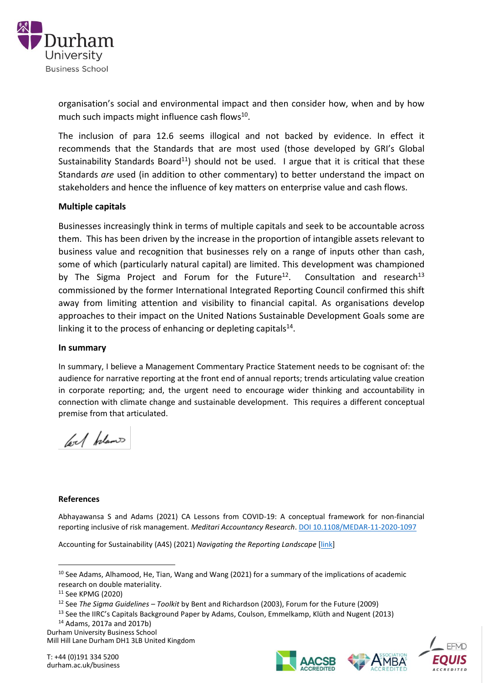

organisation's social and environmental impact and then consider how, when and by how much such impacts might influence cash flows<sup>10</sup>.

The inclusion of para 12.6 seems illogical and not backed by evidence. In effect it recommends that the Standards that are most used (those developed by GRI's Global Sustainability Standards Board<sup>11</sup>) should not be used. I argue that it is critical that these Standards *are* used (in addition to other commentary) to better understand the impact on stakeholders and hence the influence of key matters on enterprise value and cash flows.

# **Multiple capitals**

Businesses increasingly think in terms of multiple capitals and seek to be accountable across them. This has been driven by the increase in the proportion of intangible assets relevant to business value and recognition that businesses rely on a range of inputs other than cash, some of which (particularly natural capital) are limited. This development was championed by The Sigma Project and Forum for the Future<sup>12</sup>. Consultation and research $13$ commissioned by the former International Integrated Reporting Council confirmed this shift away from limiting attention and visibility to financial capital. As organisations develop approaches to their impact on the United Nations Sustainable Development Goals some are linking it to the process of enhancing or depleting capitals $^{14}$ .

#### **In summary**

In summary, I believe a Management Commentary Practice Statement needs to be cognisant of: the audience for narrative reporting at the front end of annual reports; trends articulating value creation in corporate reporting; and, the urgent need to encourage wider thinking and accountability in connection with climate change and sustainable development. This requires a different conceptual premise from that articulated.

lool belance

#### **References**

Abhayawansa S and Adams (2021) CA Lessons from COVID-19: A conceptual framework for non-financial reporting inclusive of risk management. *Meditari Accountancy Research*. [DOI 10.1108/MEDAR-11-2020-1097](https://doi.org/10.1108/MEDAR-11-2020-1097)

Accounting for Sustainability (A4S) (2021) *Navigating the Reporting Landscape* [\[link\]](https://www.accountingforsustainability.org/content/dam/a4s/corporate/home/KnowledgeHub/Guide-pdf/Navigating%20the%20Reporting%20Landscape.pdf.downloadasset.pdf)







<sup>&</sup>lt;sup>10</sup> See Adams, Alhamood, He, Tian, Wang and Wang (2021) for a summary of the implications of academic research on double materiality.

<sup>11</sup> See KPMG (2020)

<sup>12</sup> See *The Sigma Guidelines – Toolkit* by Bent and Richardson (2003), Forum for the Future (2009)

<sup>&</sup>lt;sup>13</sup> See the IIRC's Capitals Background Paper by Adams, Coulson, Emmelkamp, Klüth and Nugent (2013)

<sup>14</sup> Adams, 2017a and 2017b)

Durham University Business School

Mill Hill Lane Durham DH1 3LB United Kingdom